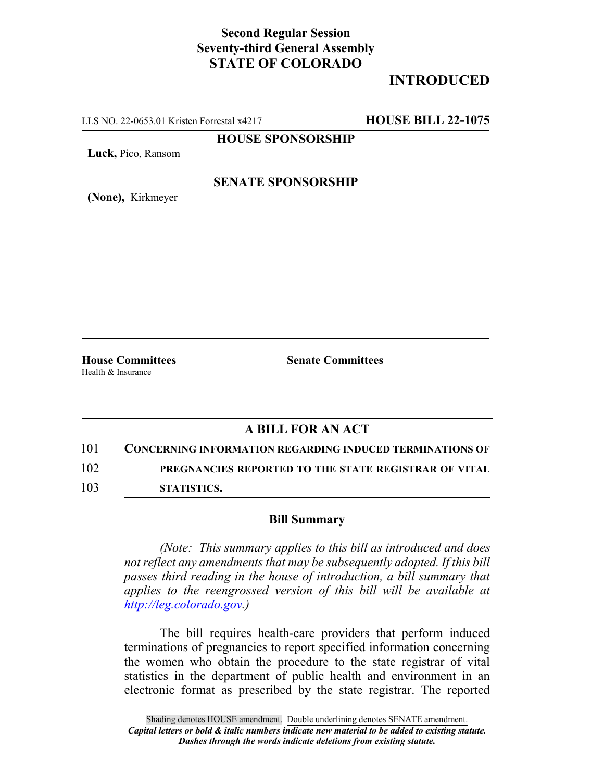## **Second Regular Session Seventy-third General Assembly STATE OF COLORADO**

# **INTRODUCED**

LLS NO. 22-0653.01 Kristen Forrestal x4217 **HOUSE BILL 22-1075**

### **HOUSE SPONSORSHIP**

**Luck,** Pico, Ransom

#### **SENATE SPONSORSHIP**

**(None),** Kirkmeyer

Health & Insurance

**House Committees Senate Committees**

### **A BILL FOR AN ACT**

101 **CONCERNING INFORMATION REGARDING INDUCED TERMINATIONS OF** 102 **PREGNANCIES REPORTED TO THE STATE REGISTRAR OF VITAL** 103 **STATISTICS.**

#### **Bill Summary**

*(Note: This summary applies to this bill as introduced and does not reflect any amendments that may be subsequently adopted. If this bill passes third reading in the house of introduction, a bill summary that applies to the reengrossed version of this bill will be available at http://leg.colorado.gov.)*

The bill requires health-care providers that perform induced terminations of pregnancies to report specified information concerning the women who obtain the procedure to the state registrar of vital statistics in the department of public health and environment in an electronic format as prescribed by the state registrar. The reported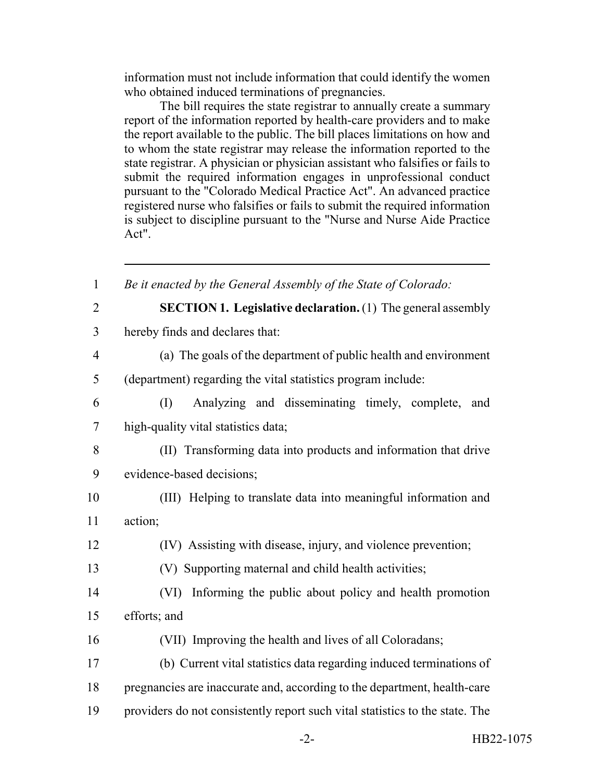information must not include information that could identify the women who obtained induced terminations of pregnancies.

The bill requires the state registrar to annually create a summary report of the information reported by health-care providers and to make the report available to the public. The bill places limitations on how and to whom the state registrar may release the information reported to the state registrar. A physician or physician assistant who falsifies or fails to submit the required information engages in unprofessional conduct pursuant to the "Colorado Medical Practice Act". An advanced practice registered nurse who falsifies or fails to submit the required information is subject to discipline pursuant to the "Nurse and Nurse Aide Practice Act".

 *Be it enacted by the General Assembly of the State of Colorado:* **SECTION 1. Legislative declaration.** (1) The general assembly hereby finds and declares that: (a) The goals of the department of public health and environment (department) regarding the vital statistics program include: (I) Analyzing and disseminating timely, complete, and high-quality vital statistics data; (II) Transforming data into products and information that drive evidence-based decisions; (III) Helping to translate data into meaningful information and 11 action; (IV) Assisting with disease, injury, and violence prevention; (V) Supporting maternal and child health activities; (VI) Informing the public about policy and health promotion efforts; and (VII) Improving the health and lives of all Coloradans; (b) Current vital statistics data regarding induced terminations of pregnancies are inaccurate and, according to the department, health-care providers do not consistently report such vital statistics to the state. The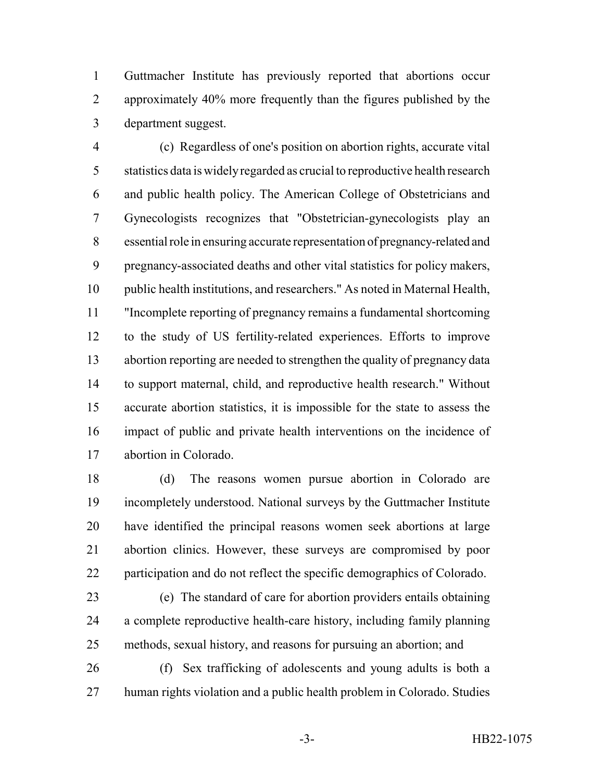Guttmacher Institute has previously reported that abortions occur approximately 40% more frequently than the figures published by the department suggest.

 (c) Regardless of one's position on abortion rights, accurate vital statistics data is widely regarded as crucial to reproductive health research and public health policy. The American College of Obstetricians and Gynecologists recognizes that "Obstetrician-gynecologists play an essential role in ensuring accurate representation of pregnancy-related and pregnancy-associated deaths and other vital statistics for policy makers, public health institutions, and researchers." As noted in Maternal Health, "Incomplete reporting of pregnancy remains a fundamental shortcoming to the study of US fertility-related experiences. Efforts to improve abortion reporting are needed to strengthen the quality of pregnancy data to support maternal, child, and reproductive health research." Without accurate abortion statistics, it is impossible for the state to assess the impact of public and private health interventions on the incidence of abortion in Colorado.

 (d) The reasons women pursue abortion in Colorado are incompletely understood. National surveys by the Guttmacher Institute have identified the principal reasons women seek abortions at large abortion clinics. However, these surveys are compromised by poor participation and do not reflect the specific demographics of Colorado.

- (e) The standard of care for abortion providers entails obtaining a complete reproductive health-care history, including family planning methods, sexual history, and reasons for pursuing an abortion; and
- (f) Sex trafficking of adolescents and young adults is both a human rights violation and a public health problem in Colorado. Studies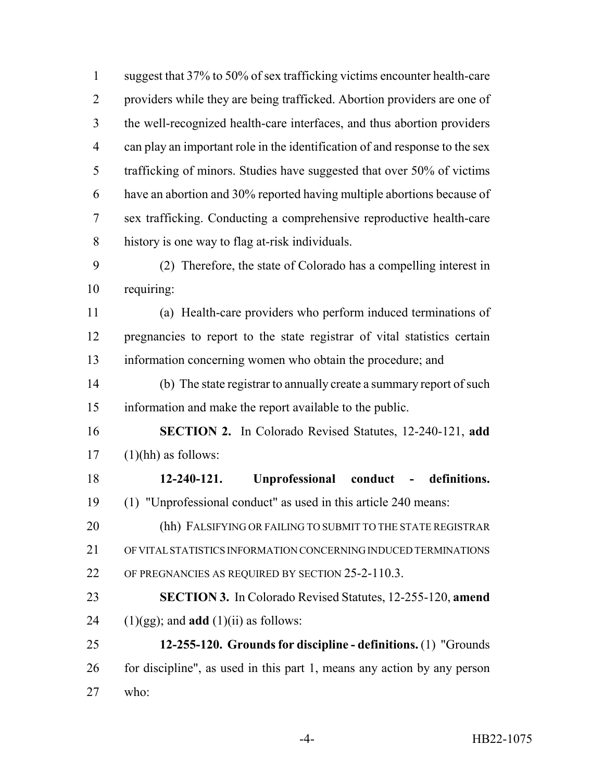1 suggest that 37% to 50% of sex trafficking victims encounter health-care providers while they are being trafficked. Abortion providers are one of the well-recognized health-care interfaces, and thus abortion providers can play an important role in the identification of and response to the sex trafficking of minors. Studies have suggested that over 50% of victims have an abortion and 30% reported having multiple abortions because of sex trafficking. Conducting a comprehensive reproductive health-care history is one way to flag at-risk individuals. (2) Therefore, the state of Colorado has a compelling interest in requiring: (a) Health-care providers who perform induced terminations of pregnancies to report to the state registrar of vital statistics certain

information concerning women who obtain the procedure; and

 (b) The state registrar to annually create a summary report of such information and make the report available to the public.

 **SECTION 2.** In Colorado Revised Statutes, 12-240-121, **add** (1)(hh) as follows:

 **12-240-121. Unprofessional conduct - definitions.** (1) "Unprofessional conduct" as used in this article 240 means:

 (hh) FALSIFYING OR FAILING TO SUBMIT TO THE STATE REGISTRAR OF VITAL STATISTICS INFORMATION CONCERNING INDUCED TERMINATIONS OF PREGNANCIES AS REQUIRED BY SECTION 25-2-110.3.

 **SECTION 3.** In Colorado Revised Statutes, 12-255-120, **amend** 24  $(1)(gg)$ ; and **add**  $(1)(ii)$  as follows:

 **12-255-120. Grounds for discipline - definitions.** (1) "Grounds for discipline", as used in this part 1, means any action by any person who: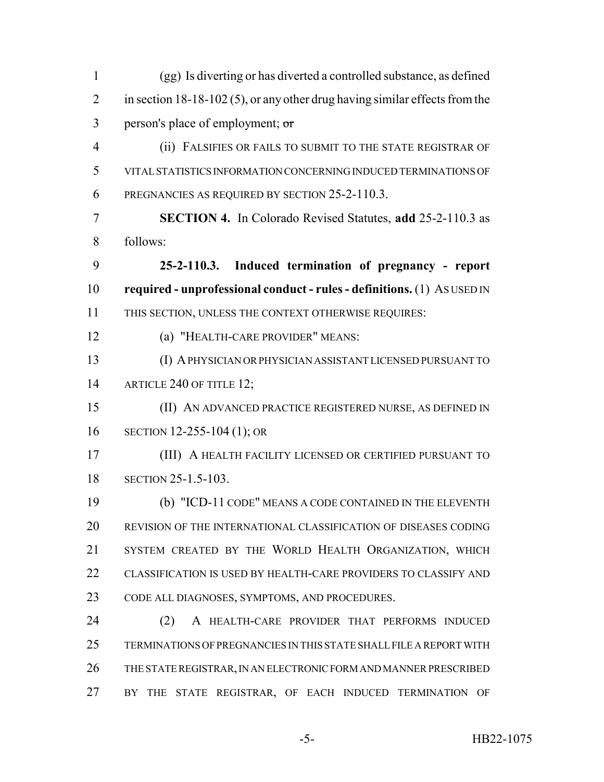| $\mathbf{1}$   | (gg) Is diverting or has diverted a controlled substance, as defined          |
|----------------|-------------------------------------------------------------------------------|
| $\overline{2}$ | in section $18-18-102(5)$ , or any other drug having similar effects from the |
| 3              | person's place of employment; or                                              |
| $\overline{4}$ | (ii) FALSIFIES OR FAILS TO SUBMIT TO THE STATE REGISTRAR OF                   |
| 5              | VITAL STATISTICS INFORMATION CONCERNING INDUCED TERMINATIONS OF               |
| 6              | PREGNANCIES AS REQUIRED BY SECTION 25-2-110.3.                                |
| 7              | <b>SECTION 4.</b> In Colorado Revised Statutes, add 25-2-110.3 as             |
| 8              | follows:                                                                      |
| 9              | 25-2-110.3. Induced termination of pregnancy - report                         |
| 10             | required - unprofessional conduct - rules - definitions. (1) ASUSED IN        |
| 11             | THIS SECTION, UNLESS THE CONTEXT OTHERWISE REQUIRES:                          |
| 12             | (a) "HEALTH-CARE PROVIDER" MEANS:                                             |
| 13             | (I) A PHYSICIAN OR PHYSICIAN ASSISTANT LICENSED PURSUANT TO                   |
| 14             | ARTICLE 240 OF TITLE 12;                                                      |
| 15             | (II) AN ADVANCED PRACTICE REGISTERED NURSE, AS DEFINED IN                     |
| 16             | SECTION 12-255-104 (1); OR                                                    |
| 17             | (III) A HEALTH FACILITY LICENSED OR CERTIFIED PURSUANT TO                     |
| 18             | SECTION 25-1.5-103.                                                           |
| 19             | (b) "ICD-11 CODE" MEANS A CODE CONTAINED IN THE ELEVENTH                      |
| 20             | REVISION OF THE INTERNATIONAL CLASSIFICATION OF DISEASES CODING               |
| 21             | SYSTEM CREATED BY THE WORLD HEALTH ORGANIZATION, WHICH                        |
| 22             | CLASSIFICATION IS USED BY HEALTH-CARE PROVIDERS TO CLASSIFY AND               |
| 23             | CODE ALL DIAGNOSES, SYMPTOMS, AND PROCEDURES.                                 |
| 24             | (2)<br>A HEALTH-CARE PROVIDER THAT PERFORMS INDUCED                           |
| 25             | TERMINATIONS OF PREGNANCIES IN THIS STATE SHALL FILE A REPORT WITH            |
| 26             | THE STATE REGISTRAR, IN AN ELECTRONIC FORM AND MANNER PRESCRIBED              |
| 27             | STATE REGISTRAR, OF EACH INDUCED TERMINATION OF<br><b>THE</b><br>BY           |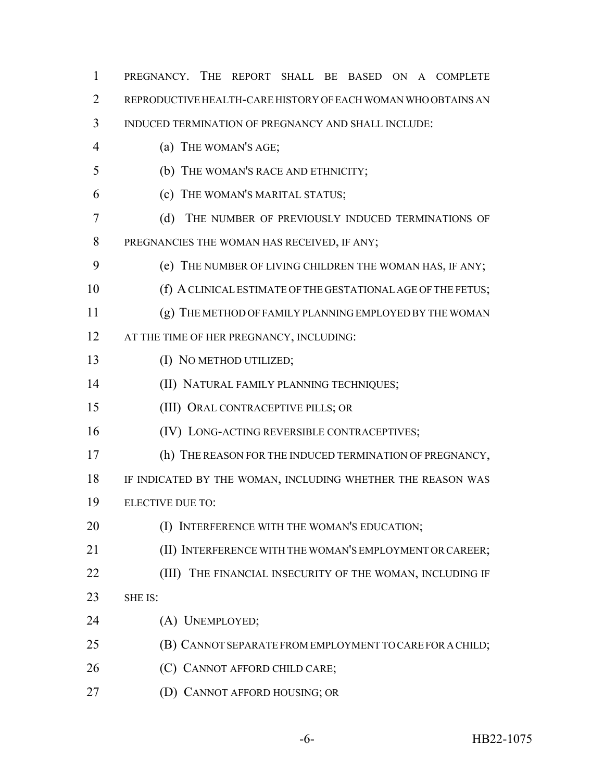| $\mathbf{1}$ | PREGNANCY. THE REPORT SHALL BE BASED ON A COMPLETE            |
|--------------|---------------------------------------------------------------|
| 2            | REPRODUCTIVE HEALTH-CARE HISTORY OF EACH WOMAN WHO OBTAINS AN |
| 3            | INDUCED TERMINATION OF PREGNANCY AND SHALL INCLUDE:           |
| 4            | (a) THE WOMAN'S AGE;                                          |
| 5            | (b) THE WOMAN'S RACE AND ETHNICITY;                           |
| 6            | (c) THE WOMAN'S MARITAL STATUS;                               |
| 7            | (d)<br>THE NUMBER OF PREVIOUSLY INDUCED TERMINATIONS OF       |
| 8            | PREGNANCIES THE WOMAN HAS RECEIVED, IF ANY;                   |
| 9            | (e) THE NUMBER OF LIVING CHILDREN THE WOMAN HAS, IF ANY;      |
| 10           | (f) A CLINICAL ESTIMATE OF THE GESTATIONAL AGE OF THE FETUS;  |
| 11           | (g) THE METHOD OF FAMILY PLANNING EMPLOYED BY THE WOMAN       |
| 12           | AT THE TIME OF HER PREGNANCY, INCLUDING:                      |
| 13           | (I) NO METHOD UTILIZED;                                       |
| 14           | (II) NATURAL FAMILY PLANNING TECHNIQUES;                      |
| 15           | (III) ORAL CONTRACEPTIVE PILLS; OR                            |
| 16           | (IV) LONG-ACTING REVERSIBLE CONTRACEPTIVES;                   |
| 17           | (h) THE REASON FOR THE INDUCED TERMINATION OF PREGNANCY,      |
| 18           | IF INDICATED BY THE WOMAN, INCLUDING WHETHER THE REASON WAS   |
| 19           | <b>ELECTIVE DUE TO:</b>                                       |
| 20           | (I) INTERFERENCE WITH THE WOMAN'S EDUCATION;                  |
| 21           | (II) INTERFERENCE WITH THE WOMAN'S EMPLOYMENT OR CAREER;      |
| 22           | THE FINANCIAL INSECURITY OF THE WOMAN, INCLUDING IF<br>(III)  |
| 23           | SHE IS:                                                       |
| 24           | (A) UNEMPLOYED;                                               |
| 25           | (B) CANNOT SEPARATE FROM EMPLOYMENT TO CARE FOR A CHILD;      |
| 26           | (C) CANNOT AFFORD CHILD CARE;                                 |
| 27           | (D) CANNOT AFFORD HOUSING; OR                                 |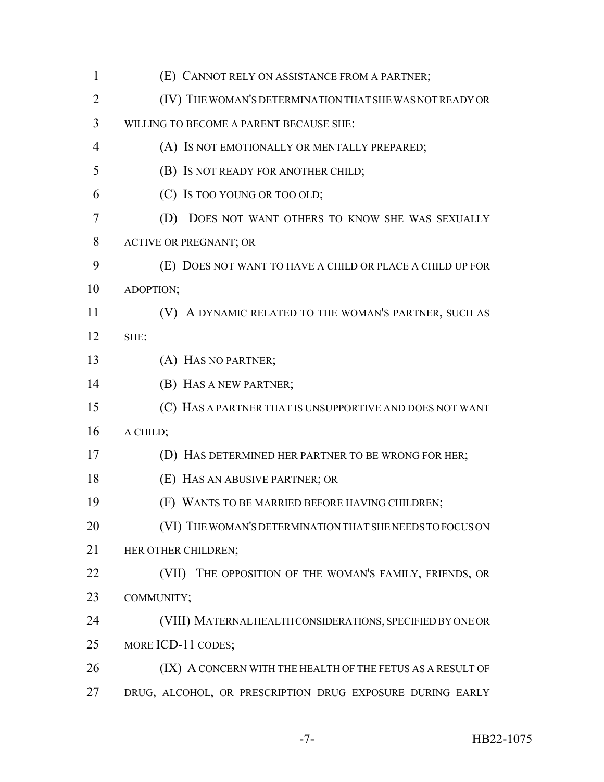| $\mathbf{1}$   | (E) CANNOT RELY ON ASSISTANCE FROM A PARTNER;              |
|----------------|------------------------------------------------------------|
| $\overline{2}$ | (IV) THE WOMAN'S DETERMINATION THAT SHE WAS NOT READY OR   |
| 3              | WILLING TO BECOME A PARENT BECAUSE SHE:                    |
| $\overline{4}$ | (A) Is NOT EMOTIONALLY OR MENTALLY PREPARED;               |
| 5              | (B) IS NOT READY FOR ANOTHER CHILD;                        |
| 6              | (C) Is too YOUNG OR TOO OLD;                               |
| 7              | (D) DOES NOT WANT OTHERS TO KNOW SHE WAS SEXUALLY          |
| 8              | ACTIVE OR PREGNANT; OR                                     |
| 9              | (E) DOES NOT WANT TO HAVE A CHILD OR PLACE A CHILD UP FOR  |
| 10             | ADOPTION;                                                  |
| 11             | (V) A DYNAMIC RELATED TO THE WOMAN'S PARTNER, SUCH AS      |
| 12             | SHE:                                                       |
| 13             | (A) HAS NO PARTNER;                                        |
| 14             | (B) HAS A NEW PARTNER;                                     |
| 15             | (C) HAS A PARTNER THAT IS UNSUPPORTIVE AND DOES NOT WANT   |
| 16             | A CHILD;                                                   |
| 17             | (D) HAS DETERMINED HER PARTNER TO BE WRONG FOR HER;        |
| 18             | (E) HAS AN ABUSIVE PARTNER; OR                             |
| 19             | (F) WANTS TO BE MARRIED BEFORE HAVING CHILDREN;            |
| 20             | (VI) THE WOMAN'S DETERMINATION THAT SHE NEEDS TO FOCUS ON  |
| 21             | HER OTHER CHILDREN;                                        |
| 22             | THE OPPOSITION OF THE WOMAN'S FAMILY, FRIENDS, OR<br>(VII) |
| 23             | COMMUNITY;                                                 |
| 24             | (VIII) MATERNAL HEALTH CONSIDERATIONS, SPECIFIED BY ONE OR |
| 25             | MORE ICD-11 CODES;                                         |
| 26             | (IX) A CONCERN WITH THE HEALTH OF THE FETUS AS A RESULT OF |
| 27             | DRUG, ALCOHOL, OR PRESCRIPTION DRUG EXPOSURE DURING EARLY  |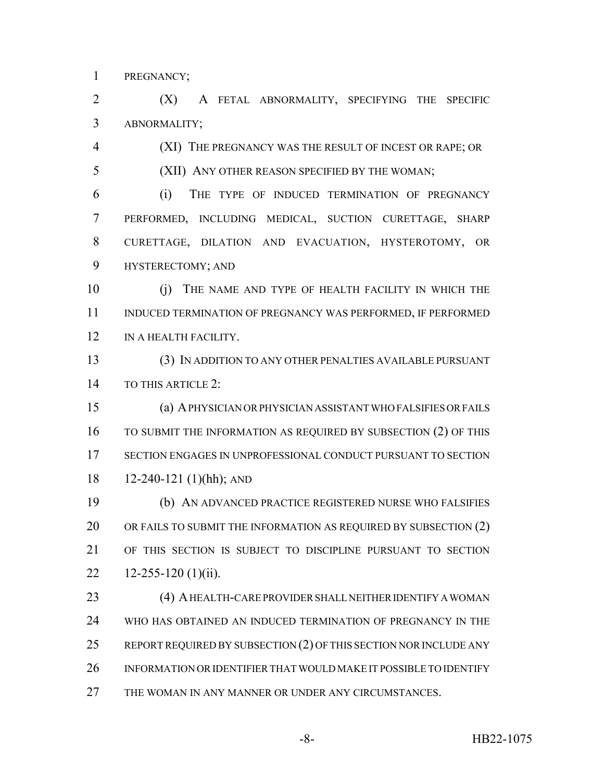PREGNANCY;

 (X) A FETAL ABNORMALITY, SPECIFYING THE SPECIFIC ABNORMALITY;

(XI) THE PREGNANCY WAS THE RESULT OF INCEST OR RAPE; OR

(XII) ANY OTHER REASON SPECIFIED BY THE WOMAN;

 (i) THE TYPE OF INDUCED TERMINATION OF PREGNANCY PERFORMED, INCLUDING MEDICAL, SUCTION CURETTAGE, SHARP CURETTAGE, DILATION AND EVACUATION, HYSTEROTOMY, OR HYSTERECTOMY; AND

 (j) THE NAME AND TYPE OF HEALTH FACILITY IN WHICH THE INDUCED TERMINATION OF PREGNANCY WAS PERFORMED, IF PERFORMED 12 IN A HEALTH FACILITY.

 (3) IN ADDITION TO ANY OTHER PENALTIES AVAILABLE PURSUANT TO THIS ARTICLE 2:

 (a) A PHYSICIAN OR PHYSICIAN ASSISTANT WHO FALSIFIES OR FAILS 16 TO SUBMIT THE INFORMATION AS REQUIRED BY SUBSECTION (2) OF THIS SECTION ENGAGES IN UNPROFESSIONAL CONDUCT PURSUANT TO SECTION 12-240-121 (1)(hh); AND

 (b) AN ADVANCED PRACTICE REGISTERED NURSE WHO FALSIFIES 20 OR FAILS TO SUBMIT THE INFORMATION AS REQUIRED BY SUBSECTION (2) OF THIS SECTION IS SUBJECT TO DISCIPLINE PURSUANT TO SECTION  $12-255-120$  (1)(ii).

23 (4) A HEALTH-CARE PROVIDER SHALL NEITHER IDENTIFY A WOMAN WHO HAS OBTAINED AN INDUCED TERMINATION OF PREGNANCY IN THE 25 REPORT REQUIRED BY SUBSECTION (2) OF THIS SECTION NOR INCLUDE ANY INFORMATION OR IDENTIFIER THAT WOULD MAKE IT POSSIBLE TO IDENTIFY 27 THE WOMAN IN ANY MANNER OR UNDER ANY CIRCUMSTANCES.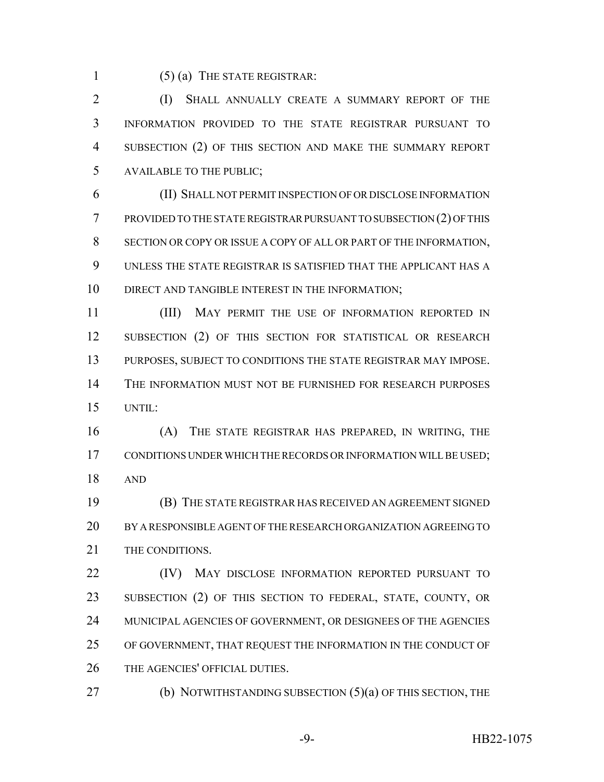(5) (a) THE STATE REGISTRAR:

2 (I) SHALL ANNUALLY CREATE A SUMMARY REPORT OF THE INFORMATION PROVIDED TO THE STATE REGISTRAR PURSUANT TO SUBSECTION (2) OF THIS SECTION AND MAKE THE SUMMARY REPORT AVAILABLE TO THE PUBLIC;

 (II) SHALL NOT PERMIT INSPECTION OF OR DISCLOSE INFORMATION PROVIDED TO THE STATE REGISTRAR PURSUANT TO SUBSECTION (2) OF THIS SECTION OR COPY OR ISSUE A COPY OF ALL OR PART OF THE INFORMATION, UNLESS THE STATE REGISTRAR IS SATISFIED THAT THE APPLICANT HAS A 10 DIRECT AND TANGIBLE INTEREST IN THE INFORMATION:

11 (III) MAY PERMIT THE USE OF INFORMATION REPORTED IN 12 SUBSECTION (2) OF THIS SECTION FOR STATISTICAL OR RESEARCH PURPOSES, SUBJECT TO CONDITIONS THE STATE REGISTRAR MAY IMPOSE. THE INFORMATION MUST NOT BE FURNISHED FOR RESEARCH PURPOSES UNTIL:

 (A) THE STATE REGISTRAR HAS PREPARED, IN WRITING, THE 17 CONDITIONS UNDER WHICH THE RECORDS OR INFORMATION WILL BE USED; AND

 (B) THE STATE REGISTRAR HAS RECEIVED AN AGREEMENT SIGNED BY A RESPONSIBLE AGENT OF THE RESEARCH ORGANIZATION AGREEING TO 21 THE CONDITIONS.

**(IV)** MAY DISCLOSE INFORMATION REPORTED PURSUANT TO SUBSECTION (2) OF THIS SECTION TO FEDERAL, STATE, COUNTY, OR MUNICIPAL AGENCIES OF GOVERNMENT, OR DESIGNEES OF THE AGENCIES OF GOVERNMENT, THAT REQUEST THE INFORMATION IN THE CONDUCT OF THE AGENCIES' OFFICIAL DUTIES.

**(b) NOTWITHSTANDING SUBSECTION (5)(a) OF THIS SECTION, THE**